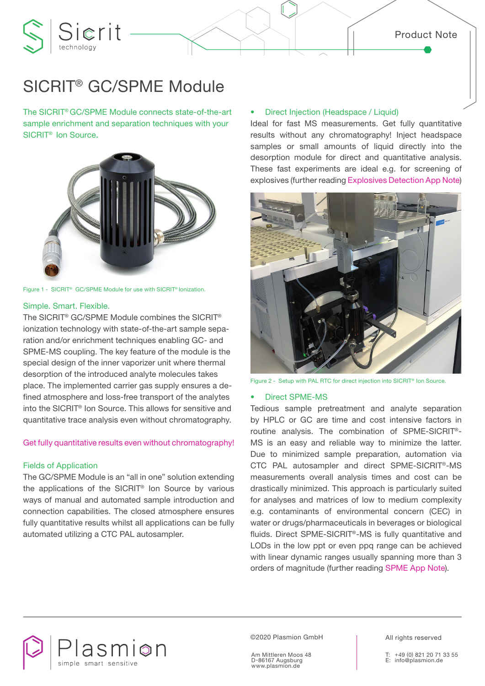# SICRIT® GC/SPME Module

Sierit

The SICRIT® GC/SPME Module connects state-of-the-art sample enrichment and separation techniques with your SICRIT® Ion Source.



Figure 1 - SICRIT® GC/SPME Module for use with SICRIT® Ionization.

#### Simple. Smart. Flexible.

The SICRIT® GC/SPME Module combines the SICRIT® ionization technology with state-of-the-art sample separation and/or enrichment techniques enabling GC- and SPME-MS coupling. The key feature of the module is the special design of the inner vaporizer unit where thermal desorption of the introduced analyte molecules takes place. The implemented carrier gas supply ensures a defined atmosphere and loss-free transport of the analytes into the SICRIT® Ion Source. This allows for sensitive and quantitative trace analysis even without chromatography.

### Get fully quantitative results even without chromatography!

#### Fields of Application

The GC/SPME Module is an "all in one" solution extending the applications of the SICRIT® Ion Source by various ways of manual and automated sample introduction and connection capabilities. The closed atmosphere ensures fully quantitative results whilst all applications can be fully automated utilizing a CTC PAL autosampler.

#### • Direct Injection (Headspace / Liquid)

Ideal for fast MS measurements. Get fully quantitative results without any chromatography! Inject headspace samples or small amounts of liquid directly into the desorption module for direct and quantitative analysis. These fast experiments are ideal e.g. for screening of explosives (further reading Explosives Detection App Note)



Figure 2 - Setup with PAL RTC for direct injection into SICRIT<sup>®</sup> Ion Source.

#### • Direct SPME-MS

Tedious sample pretreatment and analyte separation by HPLC or GC are time and cost intensive factors in routine analysis. The combination of SPME-SICRIT®- MS is an easy and reliable way to minimize the latter. Due to minimized sample preparation, automation via CTC PAL autosampler and direct SPME-SICRIT®-MS measurements overall analysis times and cost can be drastically minimized. This approach is particularly suited for analyses and matrices of low to medium complexity e.g. contaminants of environmental concern (CEC) in water or drugs/pharmaceuticals in beverages or biological fluids. Direct SPME-SICRIT®-MS is fully quantitative and LODs in the low ppt or even ppq range can be achieved with linear dynamic ranges usually spanning more than 3 orders of magnitude (further reading SPME App Note).



©2020 Plasmion GmbH

Am Mittleren Moos 48 D-86167 Augsburg www.plasmion.de

All rights reserved

+49 (0) 821 20 71 33 55 E: info@plasmion.de